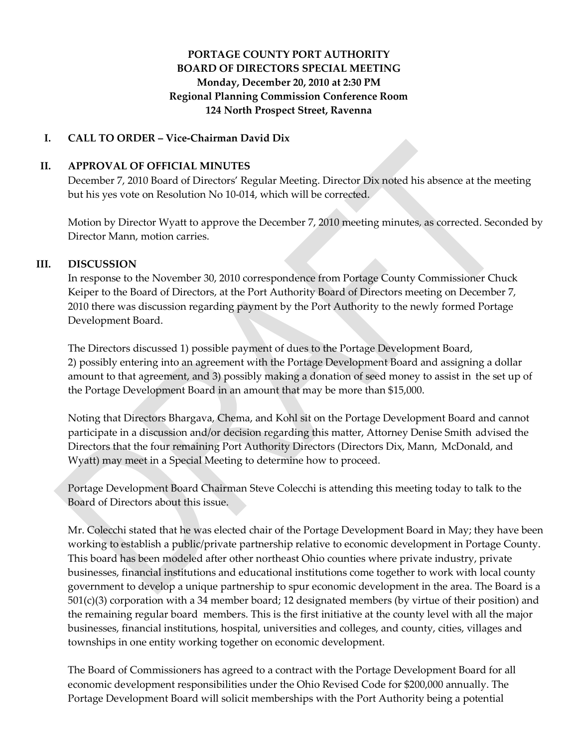# **PORTAGE COUNTY PORT AUTHORITY BOARD OF DIRECTORS SPECIAL MEETING Monday, December 20, 2010 at 2:30 PM Regional Planning Commission Conference Room 124 North Prospect Street, Ravenna**

## **I. CALL TO ORDER – Vice-Chairman David Dix**

### **II. APPROVAL OF OFFICIAL MINUTES**

December 7, 2010 Board of Directors' Regular Meeting. Director Dix noted his absence at the meeting but his yes vote on Resolution No 10-014, which will be corrected.

Motion by Director Wyatt to approve the December 7, 2010 meeting minutes, as corrected. Seconded by Director Mann, motion carries.

#### **III. DISCUSSION**

In response to the November 30, 2010 correspondence from Portage County Commissioner Chuck Keiper to the Board of Directors, at the Port Authority Board of Directors meeting on December 7, 2010 there was discussion regarding payment by the Port Authority to the newly formed Portage Development Board.

The Directors discussed 1) possible payment of dues to the Portage Development Board, 2) possibly entering into an agreement with the Portage Development Board and assigning a dollar amount to that agreement, and 3) possibly making a donation of seed money to assist in the set up of the Portage Development Board in an amount that may be more than \$15,000.

Noting that Directors Bhargava, Chema, and Kohl sit on the Portage Development Board and cannot participate in a discussion and/or decision regarding this matter, Attorney Denise Smith advised the Directors that the four remaining Port Authority Directors (Directors Dix, Mann, McDonald, and Wyatt) may meet in a Special Meeting to determine how to proceed.

Portage Development Board Chairman Steve Colecchi is attending this meeting today to talk to the Board of Directors about this issue.

Mr. Colecchi stated that he was elected chair of the Portage Development Board in May; they have been working to establish a public/private partnership relative to economic development in Portage County. This board has been modeled after other northeast Ohio counties where private industry, private businesses, financial institutions and educational institutions come together to work with local county government to develop a unique partnership to spur economic development in the area. The Board is a 501(c)(3) corporation with a 34 member board; 12 designated members (by virtue of their position) and the remaining regular board members. This is the first initiative at the county level with all the major businesses, financial institutions, hospital, universities and colleges, and county, cities, villages and townships in one entity working together on economic development.

The Board of Commissioners has agreed to a contract with the Portage Development Board for all economic development responsibilities under the Ohio Revised Code for \$200,000 annually. The Portage Development Board will solicit memberships with the Port Authority being a potential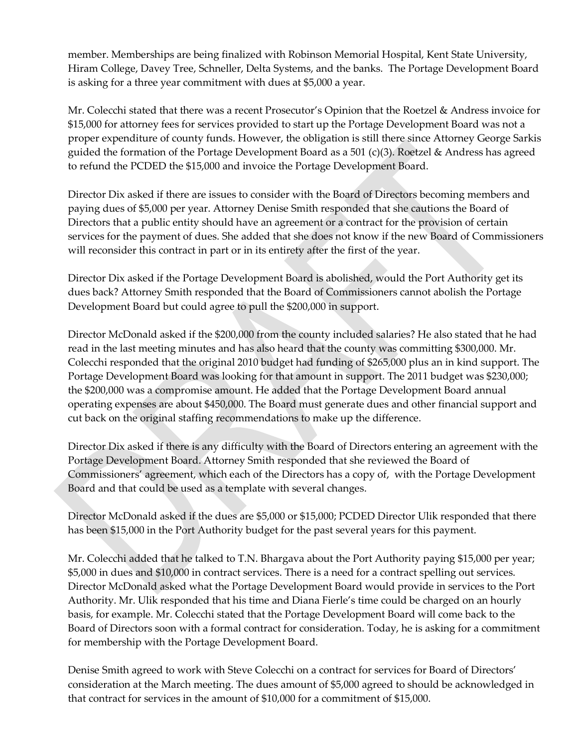member. Memberships are being finalized with Robinson Memorial Hospital, Kent State University, Hiram College, Davey Tree, Schneller, Delta Systems, and the banks. The Portage Development Board is asking for a three year commitment with dues at \$5,000 a year.

Mr. Colecchi stated that there was a recent Prosecutor's Opinion that the Roetzel & Andress invoice for \$15,000 for attorney fees for services provided to start up the Portage Development Board was not a proper expenditure of county funds. However, the obligation is still there since Attorney George Sarkis guided the formation of the Portage Development Board as a 501 (c)(3). Roetzel & Andress has agreed to refund the PCDED the \$15,000 and invoice the Portage Development Board.

Director Dix asked if there are issues to consider with the Board of Directors becoming members and paying dues of \$5,000 per year. Attorney Denise Smith responded that she cautions the Board of Directors that a public entity should have an agreement or a contract for the provision of certain services for the payment of dues. She added that she does not know if the new Board of Commissioners will reconsider this contract in part or in its entirety after the first of the year.

Director Dix asked if the Portage Development Board is abolished, would the Port Authority get its dues back? Attorney Smith responded that the Board of Commissioners cannot abolish the Portage Development Board but could agree to pull the \$200,000 in support.

Director McDonald asked if the \$200,000 from the county included salaries? He also stated that he had read in the last meeting minutes and has also heard that the county was committing \$300,000. Mr. Colecchi responded that the original 2010 budget had funding of \$265,000 plus an in kind support. The Portage Development Board was looking for that amount in support. The 2011 budget was \$230,000; the \$200,000 was a compromise amount. He added that the Portage Development Board annual operating expenses are about \$450,000. The Board must generate dues and other financial support and cut back on the original staffing recommendations to make up the difference.

Director Dix asked if there is any difficulty with the Board of Directors entering an agreement with the Portage Development Board. Attorney Smith responded that she reviewed the Board of Commissioners' agreement, which each of the Directors has a copy of, with the Portage Development Board and that could be used as a template with several changes.

Director McDonald asked if the dues are \$5,000 or \$15,000; PCDED Director Ulik responded that there has been \$15,000 in the Port Authority budget for the past several years for this payment.

Mr. Colecchi added that he talked to T.N. Bhargava about the Port Authority paying \$15,000 per year; \$5,000 in dues and \$10,000 in contract services. There is a need for a contract spelling out services. Director McDonald asked what the Portage Development Board would provide in services to the Port Authority. Mr. Ulik responded that his time and Diana Fierle's time could be charged on an hourly basis, for example. Mr. Colecchi stated that the Portage Development Board will come back to the Board of Directors soon with a formal contract for consideration. Today, he is asking for a commitment for membership with the Portage Development Board.

Denise Smith agreed to work with Steve Colecchi on a contract for services for Board of Directors' consideration at the March meeting. The dues amount of \$5,000 agreed to should be acknowledged in that contract for services in the amount of \$10,000 for a commitment of \$15,000.